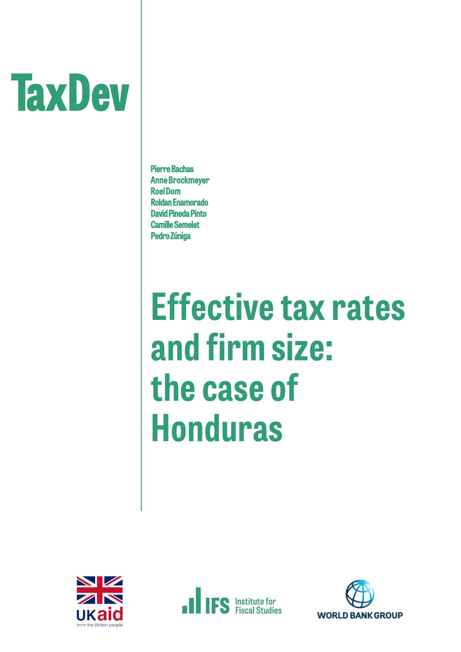# **TaxDev**

Pierre Bachas Anne Brockmeyer Roel Dom Roldan Enamorado David Pineda Pinto Camille Semelet Pedro Zúniga

## **Effective tax rates and firmsize: the case of Honduras**





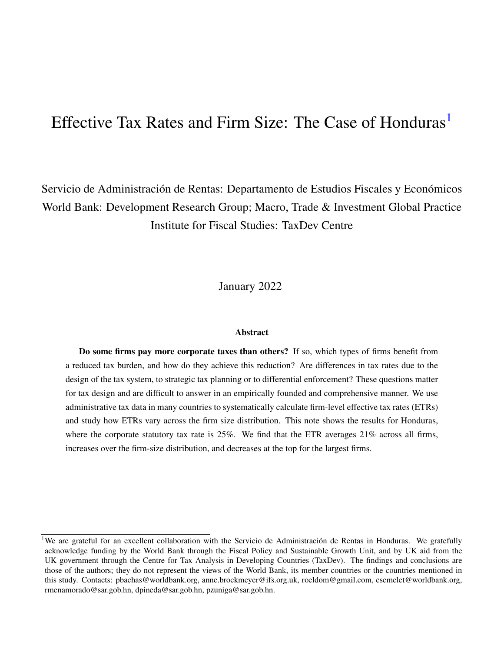### Effective Tax Rates and Firm Size: The Case of Honduras<sup>[1](#page-1-0)</sup>

Servicio de Administración de Rentas: Departamento de Estudios Fiscales y Económicos World Bank: Development Research Group; Macro, Trade & Investment Global Practice Institute for Fiscal Studies: TaxDev Centre

January 2022

#### **Abstract**

Do some firms pay more corporate taxes than others? If so, which types of firms benefit from a reduced tax burden, and how do they achieve this reduction? Are differences in tax rates due to the design of the tax system, to strategic tax planning or to differential enforcement? These questions matter for tax design and are difficult to answer in an empirically founded and comprehensive manner. We use administrative tax data in many countries to systematically calculate firm-level effective tax rates (ETRs) and study how ETRs vary across the firm size distribution. This note shows the results for Honduras, where the corporate statutory tax rate is 25%. We find that the ETR averages 21% across all firms, increases over the firm-size distribution, and decreases at the top for the largest firms.

<span id="page-1-0"></span><sup>&</sup>lt;sup>1</sup>We are grateful for an excellent collaboration with the Servicio de Administración de Rentas in Honduras. We gratefully acknowledge funding by the World Bank through the Fiscal Policy and Sustainable Growth Unit, and by UK aid from the UK government through the Centre for Tax Analysis in Developing Countries (TaxDev). The findings and conclusions are those of the authors; they do not represent the views of the World Bank, its member countries or the countries mentioned in this study. Contacts: pbachas@worldbank.org, anne.brockmeyer@ifs.org.uk, roeldom@gmail.com, csemelet@worldbank.org, rmenamorado@sar.gob.hn, dpineda@sar.gob.hn, pzuniga@sar.gob.hn.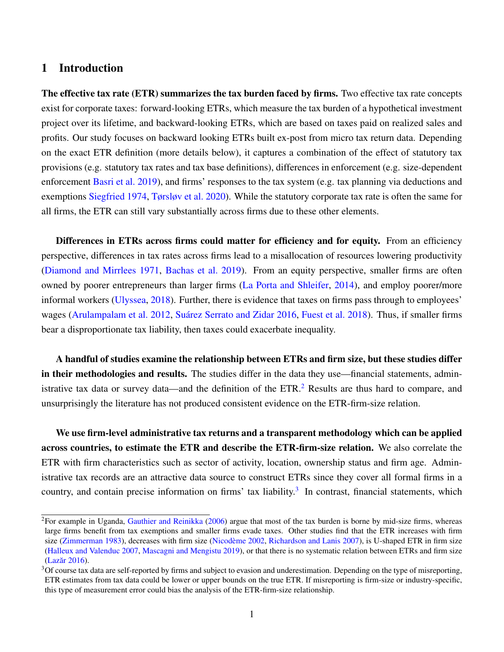#### 1 Introduction

The effective tax rate (ETR) summarizes the tax burden faced by firms. Two effective tax rate concepts exist for corporate taxes: forward-looking ETRs, which measure the tax burden of a hypothetical investment project over its lifetime, and backward-looking ETRs, which are based on taxes paid on realized sales and profits. Our study focuses on backward looking ETRs built ex-post from micro tax return data. Depending on the exact ETR definition (more details below), it captures a combination of the effect of statutory tax provisions (e.g. statutory tax rates and tax base definitions), differences in enforcement (e.g. size-dependent enforcement [Basri et al.](#page-13-0) [2019\)](#page-13-0), and firms' responses to the tax system (e.g. tax planning via deductions and exemptions [Siegfried](#page-13-1) [1974,](#page-13-1) [Tørsløv et al.](#page-13-2) [2020\)](#page-13-2). While the statutory corporate tax rate is often the same for all firms, the ETR can still vary substantially across firms due to these other elements.

Differences in ETRs across firms could matter for efficiency and for equity. From an efficiency perspective, differences in tax rates across firms lead to a misallocation of resources lowering productivity [\(Diamond and Mirrlees](#page-13-3) [1971,](#page-13-3) [Bachas et al.](#page-13-4) [2019\)](#page-13-4). From an equity perspective, smaller firms are often owned by poorer entrepreneurs than larger firms [\(La Porta and Shleifer,](#page-13-5) [2014\)](#page-13-5), and employ poorer/more informal workers [\(Ulyssea,](#page-13-6) [2018\)](#page-13-6). Further, there is evidence that taxes on firms pass through to employees' wages [\(Arulampalam et al.](#page-13-7) [2012,](#page-13-7) Suárez Serrato and Zidar [2016,](#page-13-8) [Fuest et al.](#page-13-9) [2018\)](#page-13-9). Thus, if smaller firms bear a disproportionate tax liability, then taxes could exacerbate inequality.

A handful of studies examine the relationship between ETRs and firm size, but these studies differ in their methodologies and results. The studies differ in the data they use—financial statements, administrative tax data or survey data—and the definition of the  $ETR<sup>2</sup>$  $ETR<sup>2</sup>$  $ETR<sup>2</sup>$ . Results are thus hard to compare, and unsurprisingly the literature has not produced consistent evidence on the ETR-firm-size relation.

We use firm-level administrative tax returns and a transparent methodology which can be applied across countries, to estimate the ETR and describe the ETR-firm-size relation. We also correlate the ETR with firm characteristics such as sector of activity, location, ownership status and firm age. Administrative tax records are an attractive data source to construct ETRs since they cover all formal firms in a country, and contain precise information on firms' tax liability.<sup>[3](#page-2-1)</sup> In contrast, financial statements, which

<span id="page-2-0"></span> ${}^{2}$ For example in Uganda, [Gauthier and Reinikka](#page-13-10) [\(2006\)](#page-13-10) argue that most of the tax burden is borne by mid-size firms, whereas large firms benefit from tax exemptions and smaller firms evade taxes. Other studies find that the ETR increases with firm size [\(Zimmerman](#page-13-11) [1983\)](#page-13-11), decreases with firm size (Nicodème [2002,](#page-13-12) [Richardson and Lanis](#page-13-13) [2007\)](#page-13-13), is U-shaped ETR in firm size [\(Halleux and Valenduc](#page-13-14) [2007,](#page-13-14) [Mascagni and Mengistu](#page-13-15) [2019\)](#page-13-15), or that there is no systematic relation between ETRs and firm size (Lazăr [2016\)](#page-13-16).

<span id="page-2-1"></span><sup>&</sup>lt;sup>3</sup>Of course tax data are self-reported by firms and subject to evasion and underestimation. Depending on the type of misreporting, ETR estimates from tax data could be lower or upper bounds on the true ETR. If misreporting is firm-size or industry-specific, this type of measurement error could bias the analysis of the ETR-firm-size relationship.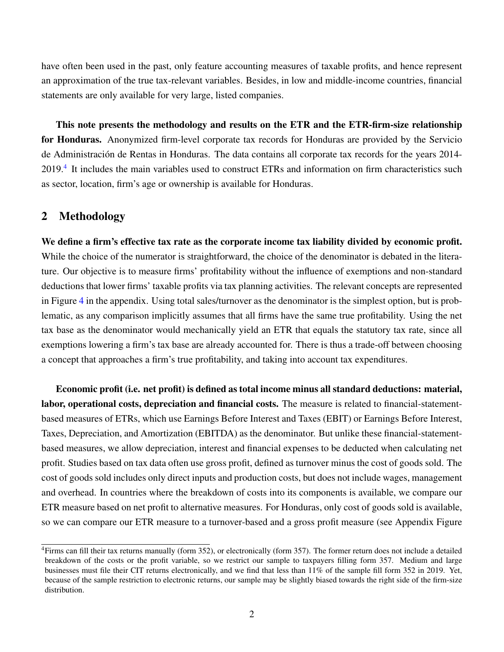have often been used in the past, only feature accounting measures of taxable profits, and hence represent an approximation of the true tax-relevant variables. Besides, in low and middle-income countries, financial statements are only available for very large, listed companies.

This note presents the methodology and results on the ETR and the ETR-firm-size relationship for Honduras. Anonymized firm-level corporate tax records for Honduras are provided by the Servicio de Administración de Rentas in Honduras. The data contains all corporate tax records for the years 2014-2019.<sup>[4](#page-3-0)</sup> It includes the main variables used to construct ETRs and information on firm characteristics such as sector, location, firm's age or ownership is available for Honduras.

#### 2 Methodology

We define a firm's effective tax rate as the corporate income tax liability divided by economic profit. While the choice of the numerator is straightforward, the choice of the denominator is debated in the literature. Our objective is to measure firms' profitability without the influence of exemptions and non-standard deductions that lower firms' taxable profits via tax planning activities. The relevant concepts are represented in Figure [4](#page-9-0) in the appendix. Using total sales/turnover as the denominator is the simplest option, but is problematic, as any comparison implicitly assumes that all firms have the same true profitability. Using the net tax base as the denominator would mechanically yield an ETR that equals the statutory tax rate, since all exemptions lowering a firm's tax base are already accounted for. There is thus a trade-off between choosing a concept that approaches a firm's true profitability, and taking into account tax expenditures.

Economic profit (i.e. net profit) is defined as total income minus all standard deductions: material, labor, operational costs, depreciation and financial costs. The measure is related to financial-statementbased measures of ETRs, which use Earnings Before Interest and Taxes (EBIT) or Earnings Before Interest, Taxes, Depreciation, and Amortization (EBITDA) as the denominator. But unlike these financial-statementbased measures, we allow depreciation, interest and financial expenses to be deducted when calculating net profit. Studies based on tax data often use gross profit, defined as turnover minus the cost of goods sold. The cost of goods sold includes only direct inputs and production costs, but does not include wages, management and overhead. In countries where the breakdown of costs into its components is available, we compare our ETR measure based on net profit to alternative measures. For Honduras, only cost of goods sold is available, so we can compare our ETR measure to a turnover-based and a gross profit measure (see Appendix Figure

<span id="page-3-0"></span><sup>4</sup>Firms can fill their tax returns manually (form 352), or electronically (form 357). The former return does not include a detailed breakdown of the costs or the profit variable, so we restrict our sample to taxpayers filling form 357. Medium and large businesses must file their CIT returns electronically, and we find that less than 11% of the sample fill form 352 in 2019. Yet, because of the sample restriction to electronic returns, our sample may be slightly biased towards the right side of the firm-size distribution.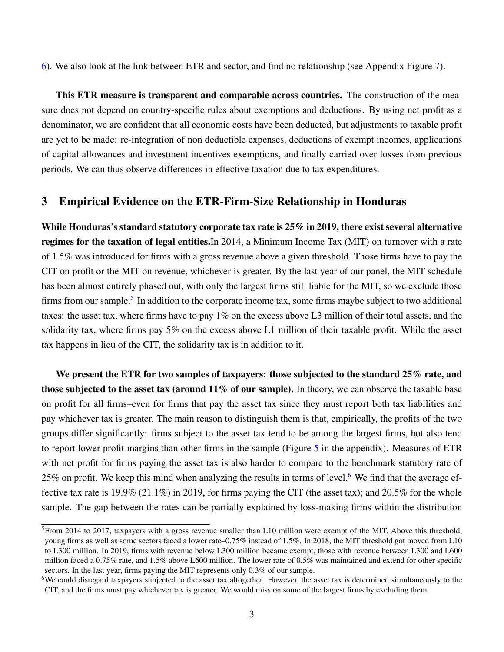[6\)](#page-10-0). We also look at the link between ETR and sector, and find no relationship (see Appendix Figure [7\)](#page-11-0).

This ETR measure is transparent and comparable across countries. The construction of the measure does not depend on country-specific rules about exemptions and deductions. By using net profit as a denominator, we are confident that all economic costs have been deducted, but adjustments to taxable profit are yet to be made: re-integration of non deductible expenses, deductions of exempt incomes, applications of capital allowances and investment incentives exemptions, and finally carried over losses from previous periods. We can thus observe differences in effective taxation due to tax expenditures.

#### 3 Empirical Evidence on the ETR-Firm-Size Relationship in Honduras

While Honduras's standard statutory corporate tax rate is 25% in 2019, there exist several alternative regimes for the taxation of legal entities.In 2014, a Minimum Income Tax (MIT) on turnover with a rate of 1.5% was introduced for firms with a gross revenue above a given threshold. Those firms have to pay the CIT on profit or the MIT on revenue, whichever is greater. By the last year of our panel, the MIT schedule has been almost entirely phased out, with only the largest firms still liable for the MIT, so we exclude those firms from our sample.<sup>[5](#page-4-0)</sup> In addition to the corporate income tax, some firms maybe subject to two additional taxes: the asset tax, where firms have to pay 1% on the excess above L3 million of their total assets, and the solidarity tax, where firms pay 5% on the excess above L1 million of their taxable profit. While the asset tax happens in lieu of the CIT, the solidarity tax is in addition to it.

We present the ETR for two samples of taxpayers: those subjected to the standard 25% rate, and those subjected to the asset tax (around  $11\%$  of our sample). In theory, we can observe the taxable base on profit for all firms–even for firms that pay the asset tax since they must report both tax liabilities and pay whichever tax is greater. The main reason to distinguish them is that, empirically, the profits of the two groups differ significantly: firms subject to the asset tax tend to be among the largest firms, but also tend to report lower profit margins than other firms in the sample (Figure [5](#page-10-1) in the appendix). Measures of ETR with net profit for firms paying the asset tax is also harder to compare to the benchmark statutory rate of 25% on profit. We keep this mind when analyzing the results in terms of level.<sup>[6](#page-4-1)</sup> We find that the average effective tax rate is 19.9% (21.1%) in 2019, for firms paying the CIT (the asset tax); and 20.5% for the whole sample. The gap between the rates can be partially explained by loss-making firms within the distribution

<span id="page-4-0"></span> $5$ From 2014 to 2017, taxpayers with a gross revenue smaller than L10 million were exempt of the MIT. Above this threshold, young firms as well as some sectors faced a lower rate–0.75% instead of 1.5%. In 2018, the MIT threshold got moved from L10 to L300 million. In 2019, firms with revenue below L300 million became exempt, those with revenue between L300 and L600 million faced a 0.75% rate, and 1.5% above L600 million. The lower rate of 0.5% was maintained and extend for other specific sectors. In the last year, firms paying the MIT represents only 0.3% of our sample.

<span id="page-4-1"></span><sup>&</sup>lt;sup>6</sup>We could disregard taxpayers subjected to the asset tax altogether. However, the asset tax is determined simultaneously to the CIT, and the firms must pay whichever tax is greater. We would miss on some of the largest firms by excluding them.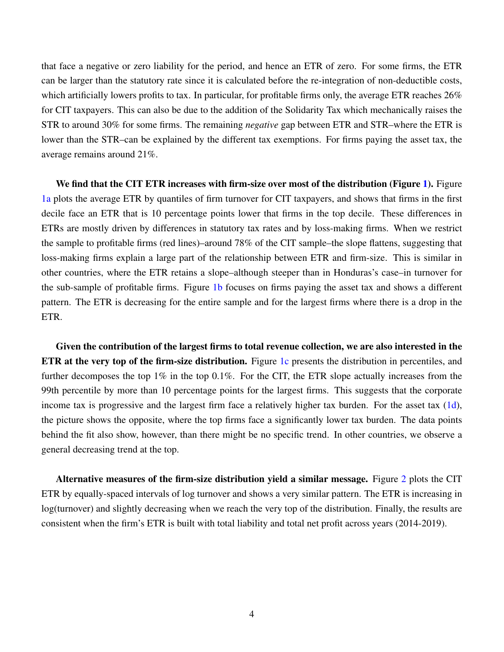that face a negative or zero liability for the period, and hence an ETR of zero. For some firms, the ETR can be larger than the statutory rate since it is calculated before the re-integration of non-deductible costs, which artificially lowers profits to tax. In particular, for profitable firms only, the average ETR reaches 26% for CIT taxpayers. This can also be due to the addition of the Solidarity Tax which mechanically raises the STR to around 30% for some firms. The remaining *negative* gap between ETR and STR–where the ETR is lower than the STR–can be explained by the different tax exemptions. For firms paying the asset tax, the average remains around 21%.

We find that the CIT ETR increases with firm-size over most of the distribution (Figure [1\)](#page-6-0). Figure [1a](#page-6-0) plots the average ETR by quantiles of firm turnover for CIT taxpayers, and shows that firms in the first decile face an ETR that is 10 percentage points lower that firms in the top decile. These differences in ETRs are mostly driven by differences in statutory tax rates and by loss-making firms. When we restrict the sample to profitable firms (red lines)–around 78% of the CIT sample–the slope flattens, suggesting that loss-making firms explain a large part of the relationship between ETR and firm-size. This is similar in other countries, where the ETR retains a slope–although steeper than in Honduras's case–in turnover for the sub-sample of profitable firms. Figure [1b](#page-6-0) focuses on firms paying the asset tax and shows a different pattern. The ETR is decreasing for the entire sample and for the largest firms where there is a drop in the ETR.

Given the contribution of the largest firms to total revenue collection, we are also interested in the ETR at the very top of the firm-size distribution. Figure [1c](#page-6-0) presents the distribution in percentiles, and further decomposes the top 1% in the top 0.1%. For the CIT, the ETR slope actually increases from the 99th percentile by more than 10 percentage points for the largest firms. This suggests that the corporate income tax is progressive and the largest firm face a relatively higher tax burden. For the asset tax  $(1d)$ , the picture shows the opposite, where the top firms face a significantly lower tax burden. The data points behind the fit also show, however, than there might be no specific trend. In other countries, we observe a general decreasing trend at the top.

Alternative measures of the firm-size distribution yield a similar message. Figure [2](#page-7-0) plots the CIT ETR by equally-spaced intervals of log turnover and shows a very similar pattern. The ETR is increasing in log(turnover) and slightly decreasing when we reach the very top of the distribution. Finally, the results are consistent when the firm's ETR is built with total liability and total net profit across years (2014-2019).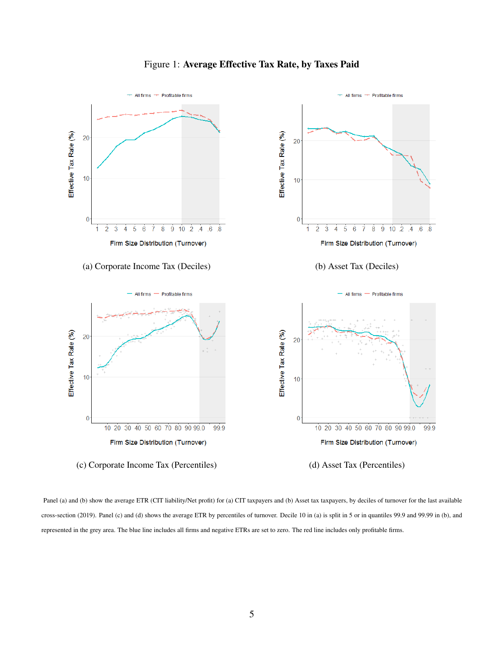<span id="page-6-0"></span>

#### Figure 1: Average Effective Tax Rate, by Taxes Paid

Panel (a) and (b) show the average ETR (CIT liability/Net profit) for (a) CIT taxpayers and (b) Asset tax taxpayers, by deciles of turnover for the last available cross-section (2019). Panel (c) and (d) shows the average ETR by percentiles of turnover. Decile 10 in (a) is split in 5 or in quantiles 99.9 and 99.99 in (b), and represented in the grey area. The blue line includes all firms and negative ETRs are set to zero. The red line includes only profitable firms.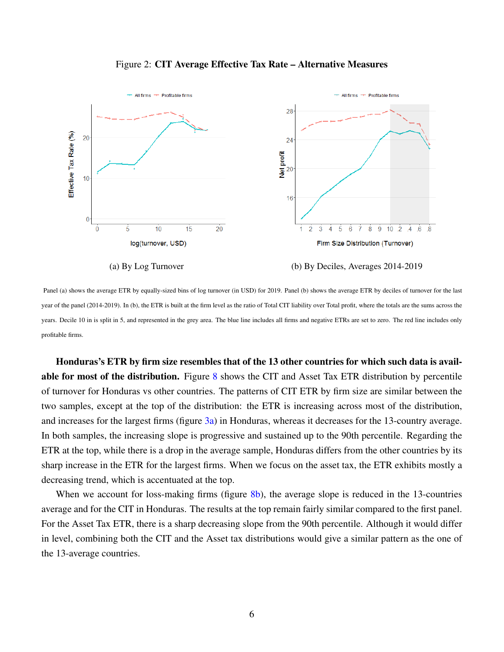<span id="page-7-0"></span>

Figure 2: CIT Average Effective Tax Rate – Alternative Measures

Panel (a) shows the average ETR by equally-sized bins of log turnover (in USD) for 2019. Panel (b) shows the average ETR by deciles of turnover for the last year of the panel (2014-2019). In (b), the ETR is built at the firm level as the ratio of Total CIT liability over Total profit, where the totals are the sums across the years. Decile 10 in is split in 5, and represented in the grey area. The blue line includes all firms and negative ETRs are set to zero. The red line includes only profitable firms.

Honduras's ETR by firm size resembles that of the 13 other countries for which such data is available for most of the distribution. Figure [8](#page-12-0) shows the CIT and Asset Tax ETR distribution by percentile of turnover for Honduras vs other countries. The patterns of CIT ETR by firm size are similar between the two samples, except at the top of the distribution: the ETR is increasing across most of the distribution, and increases for the largest firms (figure [3a\)](#page-8-0) in Honduras, whereas it decreases for the 13-country average. In both samples, the increasing slope is progressive and sustained up to the 90th percentile. Regarding the ETR at the top, while there is a drop in the average sample, Honduras differs from the other countries by its sharp increase in the ETR for the largest firms. When we focus on the asset tax, the ETR exhibits mostly a decreasing trend, which is accentuated at the top.

When we account for loss-making firms (figure [8b\)](#page-12-0), the average slope is reduced in the 13-countries average and for the CIT in Honduras. The results at the top remain fairly similar compared to the first panel. For the Asset Tax ETR, there is a sharp decreasing slope from the 90th percentile. Although it would differ in level, combining both the CIT and the Asset tax distributions would give a similar pattern as the one of the 13-average countries.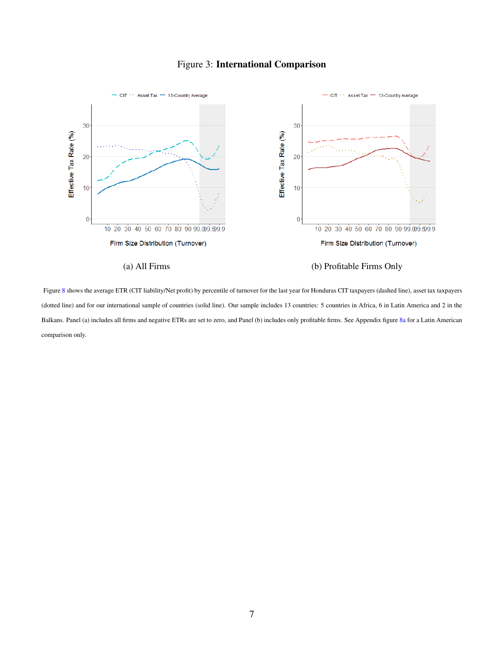#### Figure 3: International Comparison

<span id="page-8-0"></span>

Figure [8](#page-12-0) shows the average ETR (CIT liability/Net profit) by percentile of turnover for the last year for Honduras CIT taxpayers (dashed line), asset tax taxpayers (dotted line) and for our international sample of countries (solid line). Our sample includes 13 countries: 5 countries in Africa, 6 in Latin America and 2 in the Balkans. Panel (a) includes all firms and negative ETRs are set to zero, and Panel (b) includes only profitable firms. See Appendix figure [8a](#page-12-0) for a Latin American comparison only.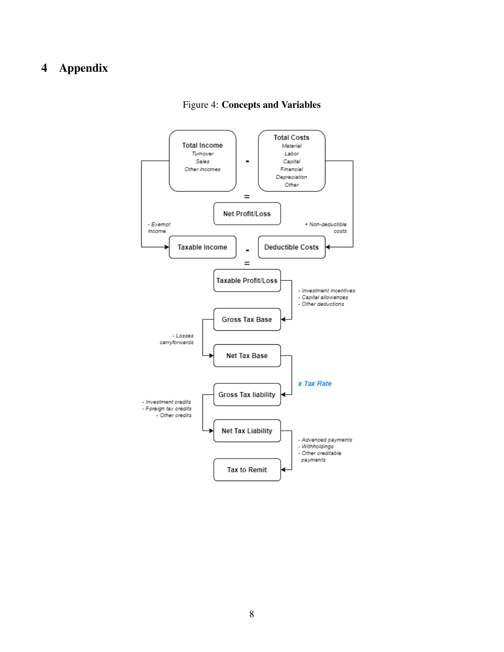#### <span id="page-9-0"></span>Appendix



#### Figure 4: Concepts and Variables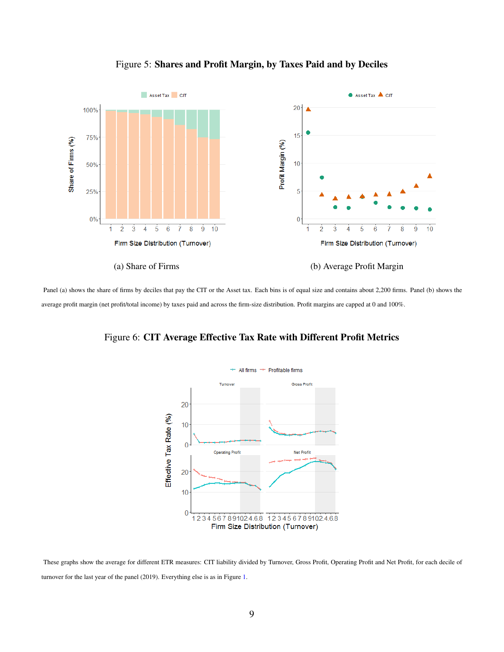

<span id="page-10-1"></span>

<span id="page-10-0"></span>Panel (a) shows the share of firms by deciles that pay the CIT or the Asset tax. Each bins is of equal size and contains about 2,200 firms. Panel (b) shows the average profit margin (net profit/total income) by taxes paid and across the firm-size distribution. Profit margins are capped at 0 and 100%.

Figure 6: CIT Average Effective Tax Rate with Different Profit Metrics



These graphs show the average for different ETR measures: CIT liability divided by Turnover, Gross Profit, Operating Profit and Net Profit, for each decile of turnover for the last year of the panel (2019). Everything else is as in Figure [1.](#page-6-0)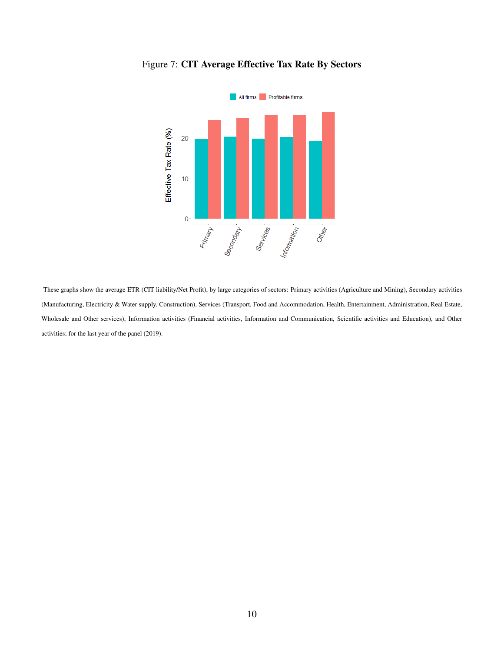

<span id="page-11-0"></span>Figure 7: CIT Average Effective Tax Rate By Sectors

These graphs show the average ETR (CIT liability/Net Profit), by large categories of sectors: Primary activities (Agriculture and Mining), Secondary activities (Manufacturing, Electricity & Water supply, Construction), Services (Transport, Food and Accommodation, Health, Entertainment, Administration, Real Estate, Wholesale and Other services), Information activities (Financial activities, Information and Communication, Scientific activities and Education), and Other activities; for the last year of the panel (2019).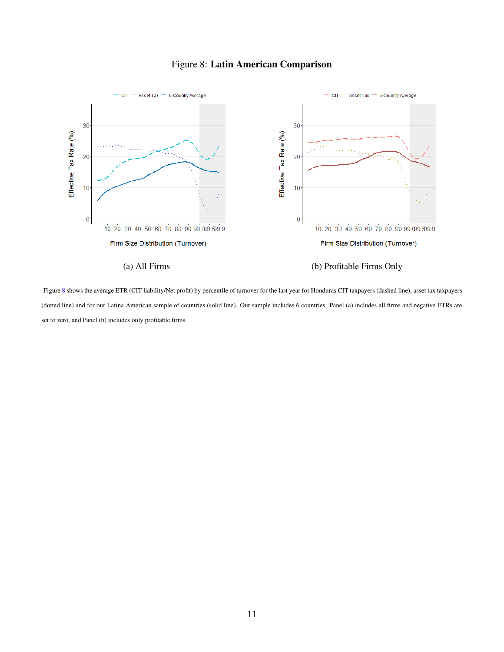#### Figure 8: Latin American Comparison

<span id="page-12-0"></span>

Figure [8](#page-12-0) shows the average ETR (CIT liability/Net profit) by percentile of turnover for the last year for Honduras CIT taxpayers (dashed line), asset tax taxpayers (dotted line) and for our Latina American sample of countries (solid line). Our sample includes 6 countries. Panel (a) includes all firms and negative ETRs are set to zero, and Panel (b) includes only profitable firms.